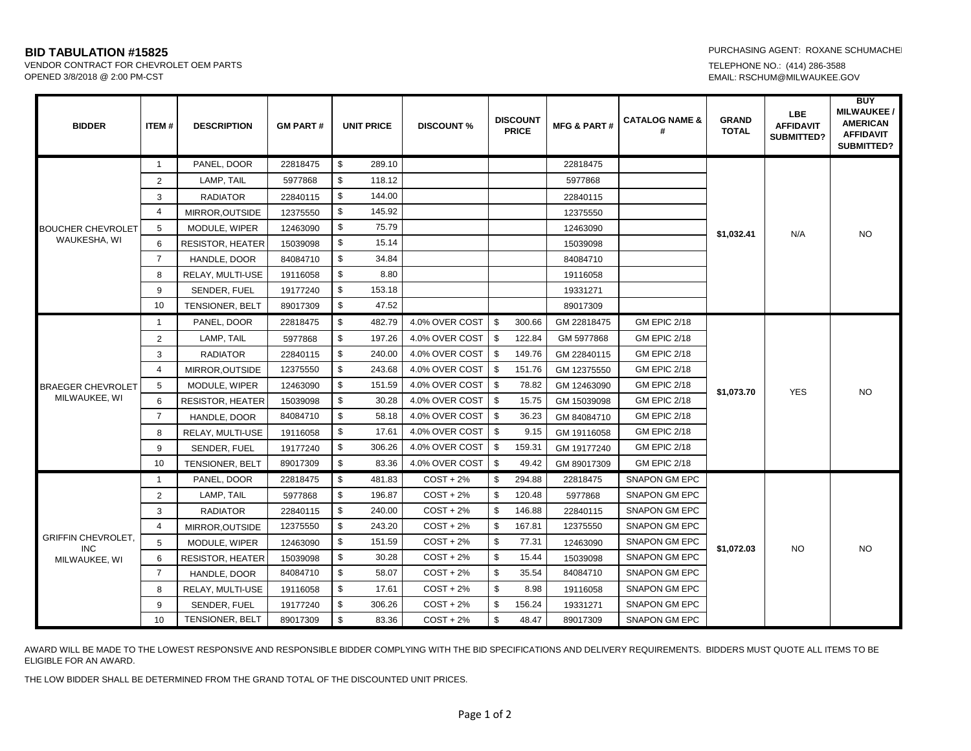**BID TABULATION #15825**<br>
VENDOR CONTRACT FOR CHEVROLET OEM PARTS<br>
VENDOR CONTRACT FOR CHEVROLET OEM PARTS VENDOR CONTRACT FOR CHEVROLET OEM PARTS<br>OPENED 3/8/2018 @ 2:00 PM-CST

EMAIL: RSCHUM@MILWAUKEE.GOV

| <b>BIDDER</b>                                            | ITEM#          | <b>DESCRIPTION</b>      | <b>GM PART#</b> | <b>UNIT PRICE</b> | <b>DISCOUNT %</b> | <b>DISCOUNT</b><br><b>PRICE</b> | <b>MFG &amp; PART#</b> | <b>CATALOG NAME &amp;</b> | <b>GRAND</b><br><b>TOTAL</b> | LBE.<br><b>AFFIDAVIT</b><br><b>SUBMITTED?</b> | <b>BUY</b><br><b>MILWAUKEE/</b><br><b>AMERICAN</b><br><b>AFFIDAVIT</b><br><b>SUBMITTED?</b> |
|----------------------------------------------------------|----------------|-------------------------|-----------------|-------------------|-------------------|---------------------------------|------------------------|---------------------------|------------------------------|-----------------------------------------------|---------------------------------------------------------------------------------------------|
| <b>BOUCHER CHEVROLET</b><br>WAUKESHA, WI                 | $\mathbf{1}$   | PANEL, DOOR             | 22818475        | \$<br>289.10      |                   |                                 | 22818475               |                           | \$1,032.41                   | N/A                                           | <b>NO</b>                                                                                   |
|                                                          | $\overline{2}$ | LAMP, TAIL              | 5977868         | \$<br>118.12      |                   |                                 | 5977868                |                           |                              |                                               |                                                                                             |
|                                                          | 3              | <b>RADIATOR</b>         | 22840115        | \$<br>144.00      |                   |                                 | 22840115               |                           |                              |                                               |                                                                                             |
|                                                          | $\overline{4}$ | MIRROR, OUTSIDE         | 12375550        | \$<br>145.92      |                   |                                 | 12375550               |                           |                              |                                               |                                                                                             |
|                                                          | 5              | MODULE, WIPER           | 12463090        | \$<br>75.79       |                   |                                 | 12463090               |                           |                              |                                               |                                                                                             |
|                                                          | 6              | <b>RESISTOR, HEATER</b> | 15039098        | \$<br>15.14       |                   |                                 | 15039098               |                           |                              |                                               |                                                                                             |
|                                                          | $\overline{7}$ | HANDLE, DOOR            | 84084710        | \$<br>34.84       |                   |                                 | 84084710               |                           |                              |                                               |                                                                                             |
|                                                          | 8              | RELAY, MULTI-USE        | 19116058        | \$<br>8.80        |                   |                                 | 19116058               |                           |                              |                                               |                                                                                             |
|                                                          | 9              | SENDER, FUEL            | 19177240        | \$<br>153.18      |                   |                                 | 19331271               |                           |                              |                                               |                                                                                             |
|                                                          | 10             | <b>TENSIONER, BELT</b>  | 89017309        | \$<br>47.52       |                   |                                 | 89017309               |                           |                              |                                               |                                                                                             |
| <b>BRAEGER CHEVROLET</b><br>MILWAUKEE, WI                | $\mathbf{1}$   | PANEL, DOOR             | 22818475        | \$<br>482.79      | 4.0% OVER COST    | \$<br>300.66                    | GM 22818475            | <b>GM EPIC 2/18</b>       | \$1,073.70                   | <b>YES</b>                                    | <b>NO</b>                                                                                   |
|                                                          | $\overline{2}$ | LAMP, TAIL              | 5977868         | $\$$<br>197.26    | 4.0% OVER COST    | \$<br>122.84                    | GM 5977868             | <b>GM EPIC 2/18</b>       |                              |                                               |                                                                                             |
|                                                          | 3              | <b>RADIATOR</b>         | 22840115        | \$<br>240.00      | 4.0% OVER COST    | \$<br>149.76                    | GM 22840115            | <b>GM EPIC 2/18</b>       |                              |                                               |                                                                                             |
|                                                          | $\overline{4}$ | MIRROR, OUTSIDE         | 12375550        | \$<br>243.68      | 4.0% OVER COST    | \$<br>151.76                    | GM 12375550            | <b>GM EPIC 2/18</b>       |                              |                                               |                                                                                             |
|                                                          | 5              | MODULE, WIPER           | 12463090        | \$<br>151.59      | 4.0% OVER COST    | \$<br>78.82                     | GM 12463090            | <b>GM EPIC 2/18</b>       |                              |                                               |                                                                                             |
|                                                          | 6              | <b>RESISTOR, HEATER</b> | 15039098        | \$<br>30.28       | 4.0% OVER COST    | \$<br>15.75                     | GM 15039098            | <b>GM EPIC 2/18</b>       |                              |                                               |                                                                                             |
|                                                          | $\overline{7}$ | HANDLE, DOOR            | 84084710        | \$<br>58.18       | 4.0% OVER COST    | \$<br>36.23                     | GM 84084710            | <b>GM EPIC 2/18</b>       |                              |                                               |                                                                                             |
|                                                          | 8              | RELAY, MULTI-USE        | 19116058        | \$<br>17.61       | 4.0% OVER COST    | \$<br>9.15                      | GM 19116058            | <b>GM EPIC 2/18</b>       |                              |                                               |                                                                                             |
|                                                          | 9              | SENDER, FUEL            | 19177240        | \$<br>306.26      | 4.0% OVER COST    | \$<br>159.31                    | GM 19177240            | <b>GM EPIC 2/18</b>       |                              |                                               |                                                                                             |
|                                                          | 10             | <b>TENSIONER, BELT</b>  | 89017309        | \$<br>83.36       | 4.0% OVER COST    | \$<br>49.42                     | GM 89017309            | <b>GM EPIC 2/18</b>       |                              |                                               |                                                                                             |
| <b>GRIFFIN CHEVROLET,</b><br><b>INC</b><br>MILWAUKEE, WI | $\mathbf{1}$   | PANEL, DOOR             | 22818475        | \$<br>481.83      | $COST + 2%$       | \$<br>294.88                    | 22818475               | <b>SNAPON GM EPC</b>      | \$1,072.03                   | <b>NO</b>                                     | <b>NO</b>                                                                                   |
|                                                          | $\overline{2}$ | LAMP, TAIL              | 5977868         | \$<br>196.87      | $COST + 2%$       | \$<br>120.48                    | 5977868                | <b>SNAPON GM EPC</b>      |                              |                                               |                                                                                             |
|                                                          | 3              | <b>RADIATOR</b>         | 22840115        | \$<br>240.00      | $COST + 2%$       | \$<br>146.88                    | 22840115               | <b>SNAPON GM EPC</b>      |                              |                                               |                                                                                             |
|                                                          | $\overline{4}$ | MIRROR, OUTSIDE         | 12375550        | \$<br>243.20      | $COST + 2%$       | \$<br>167.81                    | 12375550               | <b>SNAPON GM EPC</b>      |                              |                                               |                                                                                             |
|                                                          | 5              | MODULE, WIPER           | 12463090        | \$<br>151.59      | $COST + 2%$       | \$<br>77.31                     | 12463090               | <b>SNAPON GM EPC</b>      |                              |                                               |                                                                                             |
|                                                          | 6              | RESISTOR, HEATER        | 15039098        | \$<br>30.28       | $COST + 2%$       | \$<br>15.44                     | 15039098               | <b>SNAPON GM EPC</b>      |                              |                                               |                                                                                             |
|                                                          | $\overline{7}$ | HANDLE, DOOR            | 84084710        | \$<br>58.07       | $COST + 2%$       | \$<br>35.54                     | 84084710               | <b>SNAPON GM EPC</b>      |                              |                                               |                                                                                             |
|                                                          | 8              | RELAY, MULTI-USE        | 19116058        | \$<br>17.61       | $COST + 2%$       | \$<br>8.98                      | 19116058               | <b>SNAPON GM EPC</b>      |                              |                                               |                                                                                             |
|                                                          | 9              | SENDER, FUEL            | 19177240        | \$<br>306.26      | $COST + 2%$       | \$<br>156.24                    | 19331271               | <b>SNAPON GM EPC</b>      |                              |                                               |                                                                                             |
|                                                          | 10             | TENSIONER, BELT         | 89017309        | \$<br>83.36       | $COST + 2%$       | \$<br>48.47                     | 89017309               | <b>SNAPON GM EPC</b>      |                              |                                               |                                                                                             |

AWARD WILL BE MADE TO THE LOWEST RESPONSIVE AND RESPONSIBLE BIDDER COMPLYING WITH THE BID SPECIFICATIONS AND DELIVERY REQUIREMENTS. BIDDERS MUST QUOTE ALL ITEMS TO BE ELIGIBLE FOR AN AWARD.

THE LOW BIDDER SHALL BE DETERMINED FROM THE GRAND TOTAL OF THE DISCOUNTED UNIT PRICES.